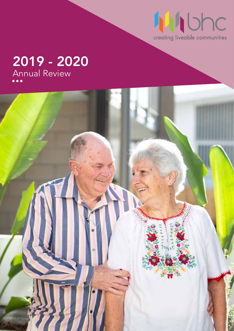

# 2019 - 2020 Annual Review

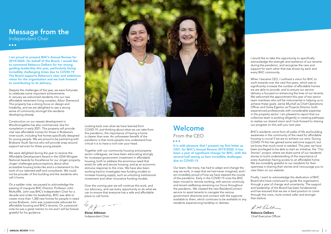I am proud to present BHC's Annual Review for 2019/2020. On behalf of the Board, I would like to commend Rebecca Oelkers for her strong, guiding leadership this year, particularly facing incredibly challenging times due to COVID-19. The Board supports Rebecca's clear and ambitious vision for the organisation and we look forward to contributing to its delivery.

Despite the challenges of the year, we were fortunate to celebrate some important achievements. In January we welcomed residents into our new affordable retirement living complex, Arbor Sherwood. This property has a strong focus on design and liveability, and we are delighted to see a strong sense of community amongst the residents developing already.

Construction on our newest development in Woolloongabba has also commenced, due for completion in early 2021. This property will provide vital new affordable homes for those in Brisbane's inner-south, including five homes specifically designed for young people. We are proud to be partnering with Brisbane Youth Service who will provide wrap-around support services for these young people.

We were delighted during the year to receive the Affordable Development Award in the UDIA Wingate National Awards for Excellence for our Jingeri property. Jingeri challenges preconceptions about what accessible housing looks like and is a testament to the work of our talented staff and consultants. We could not be prouder of this building and the residents who call it home.

On a sadder note, we paused to acknowledge the passing of inaugural BHC Director, Professor John McAuliffe. John was BHC's Independent Chair for a decade and under his leadership, BHC was able to create more than 1,300 new homes for people in need across Brisbane. John was a passionate advocate for affordable housing and BHC's tenants. On a personal note he was a great mentor to me and I will be forever grateful for his guidance.



Looking back over what we have learned from COVID-19, and thinking about what we can take from this pandemic, the importance of having a home is clearer than ever. An unforeseen benefit of the pandemic is that more people now understand how critical it is to have a roof over your head.

Together with our community housing and property sector colleagues, we have been advocating strongly for increased government investment in affordable housing, both to address the enormous need that exists for safe and secure housing, and as an economic stimulus response to the crisis. We have also been working hard to investigate new funding models to increase housing supply, such as unlocking institutional investment and other innovative funding models.

Over the coming year we will continue this work, and our advocacy, and use every opportunity to do what we can to ensure that everyone has a safe and affordable place to call home.

### Welcome From the CEO

 $\bullet\bullet\bullet$ 

It is with pleasure that I present my first letter as CEO, for BHC's Annual Review 2019/2020. It has been a year of significant change for BHC, with the second half seeing us face incredible challenges due to COVID-19.

Our team, like many, has had to adapt and change the way we work, in ways that we had never imagined, and I am incredibly proud of how we have steered the course of the pandemic. Early in the COVID-19 crisis the BHC team moved to remote working, with service continuity and tenant wellbeing remaining our focus throughout the pandemic. We created the new ResidentConnect service to assist tenants to navigate the various government directives and connect with the supports available to them, which continues to be available to any residents experiencing hardship or distress.

I would like to take this opportunity to specifically acknowledge the strength and resilience of our tenants during the pandemic, and recognise the care and support for each other that was shown by each and every BHC community.

When I became CEO, I outlined a vision for BHC to work towards over the next five years, which was to significantly increase the number of affordable homes we are able to provide, and to ensure our service delivery is focused on enhancing the lives of our tenants. We welcomed the appointment this year of two senior team members who will be instrumental in helping us to achieve these goals: Jamie Muchall as Chief Operations Officer and Greta Egerton as Projects Director, both experienced professionals with considerable expertise in the property sector. I am pleased to report that our collective team is working diligently in creating pathways to realise our shared vision and I look forward to sharing our progress on this with you next year.

BHC's residents come from all walks of life and building awareness in the community of the need for affordable housing is crucial if we are to achieve our aims. During COVID-19 this has gained some welcome support, but we know that much more is needed. This year, we have been privileged to be able to start an initiative, the "Our Stories" project, where we share some of our residents' stories to build understanding of the importance of every Australian having access to an affordable home. We are incredibly grateful to our residents for their openness in sharing their stories and I encourage you to view them on our website.

Finally, I want to acknowledge the dedication of BHC Board who have continued to guide the organisation through a year of change and uncertainty. The support and leadership of the Board has been fundamental and has ensured that we are in best position to come through this crisis, more united, safer and stronger than before.

R.M. Oall

# Message from the

Independent Chair

 $\bullet\bullet\bullet$ 

Eloise Atkinson Independent Chair

Rebecca Oelkers Chief Executive Officer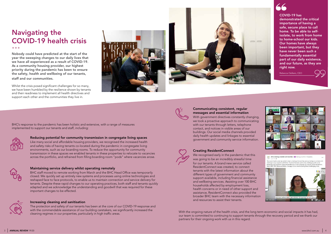



Nobody could have predicted at the start of the year the sweeping changes to our daily lives that we have all experienced as a result of COVID-19. As a community housing provider, our highest priority during the pandemic has been to ensure the safety, health and wellbeing of our tenants, staff and our communities.

Whilst the crisis posed significant challenges for so many, we have been humbled by the resilience shown by tenants and their readiness to implement all health directives and support each other and the communities they live in.





### Communicating consistent, regular messages and essential information

With government directives constantly changing, we took a proactive approach to communicating with our tenants through letters, telephone contact, and notices in visible areas of our buildings. Our social media channels provided daily health updates and linkages to essential government and community service information.



### Creating ResidentConnect

We recognised early in the pandemic that this was going to be an incredibly stressful time for our tenants. A brand new service called ResidentConnect was created, to connect tenants with the latest information about the different types of government and community support available, including financial assistance and wellbeing services. Assisting over 100 BHC households affected by employment loss, health concerns or in need of other support and assistance, ResidentConnect also provided the broader BHC team with the necessary information and resources to assist their tenants.

# Navigating the COVID-19 health crisis

With the ongoing nature of the health crisis, and the long term economic and social impacts it has had, our team is committed to continuing to support tenants through the recovery period and we thank our partners for their ongoing work with us in this regard.

BHC's response to the pandemic has been holistic and extensive, with a range of measures implemented to support our tenants and staff, including:



COVID-19 has demonstrated the critical importance of having a safe, secure place to call home. To be able to selfisolate, to work from home to home-school our kids. Our homes have always been important, but they have never been such a fundamentally essential part of our daily existence, and our future, as they are right now.

Rebecca Oelkers, CEO





MA BHC Creating Liveable Communities is @ sharing a COVID-19 Update.

The recent health crois has certainly been a testing time and has seen us having to contend with ree receive reason coses case cerearly ceremic and the basic particularly challenging with social<br>distancing and lockdown measures prohibiting us from enjoying our regular social interactio<br>Watch BHC CEO, Rebecca Oelkers,



#### Reducing potential for community transmission in congregate living spaces

Like many social and affordable housing providers, we recognised the increased health and safety risks of having tenants co-located during the pandemic in congregate living environments, such as our boarding rooms. To reduce the opportunity for community transmission in these spaces we enabled tenants in these properties to relocate to vacancies across the portfolio, and refrained from filling boarding room "pods" where vacancies arose.



#### Maintaining service delivery whilst operating remotely

BHC staff moved to remote working from March and the BHC Head Office was temporarily closed. We quickly set up entirely new systems and processes using online technologies and reshaped face to face protocols, to enable us to maintain connection and service delivery for tenants. Despite these rapid changes to our operating practices, both staff and tenants quickly adapted and we acknowledge the understanding and goodwill that was required for these important changes to be effected.



#### Increasing cleaning and sanitisation

The protection and safety of our tenants has been at the core of our COVID-19 response and with the commendable assistance of our building caretakers, we significantly increased the cleaning regimes in our properties, particularly in high traffic areas.

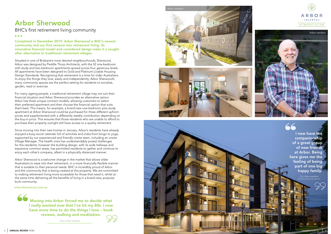



Completed in December 2019, Arbor Sherwood is BHC's newest community and our first venture into retirement living. Its innovative financial model and considered design make it a soughtafter alternative to traditional retirement villages.

Situated in one of Brisbane's most desired neighbourhoods, Sherwood, Arbor was designed by Peddle Thorp Architects, with the 52 one-bedroom with study and two-bedroom apartments spread across four generous levels. All apartments have been designed to Gold and Platinum Livable Housing Design Standards. Recognising that retirement is a time for older Australians to enjoy the things they love, easily and independently, Arbor Sherwood's many community spaces are the perfect setting for residents to socialise, garden, read or exercise.

For many ageing people, a traditional retirement village may not suit their financial situation and Arbor Sherwood provides an alternative option. Arbor has three unique contract models, allowing customers to select their preferred apartment and then choose the financial option that suits them best. This means, for example, a brand new one-bedroom plus study apartment at Arbor Sherwood could be purchased for three different upfront prices and supplemented with a differently weekly contribution depending on the buy-in price. This ensures that those residents who are unable to afford to purchase their property outright still have access to a quality retirement.

Moving into Arbor forced me to decide what I really wanted now that I've hit my 80s. I now have more time to do the things I love – book reviews, walking and meditation.

Since moving into their new homes in January, Arbor's residents have already enjoyed a busy social calendar full of activities and clubs from bingo to yoga, supported by our experienced and friendly onsite team, including an onsite Village Manager. The health crisis has understandably posed challenges for the residents, however the building design, with its wide hallways and expansive common areas, has permitted residents to gather and continue to enjoy each other's company, albeit in a physically distanced manner.

Arbor Sherwood is a welcome change in the market that allows older Australians to ease into their retirement, in a more financially flexible manner that is suitable to their personal needs. BHC is incredibly proud of Arbor and the community that is being created at this property. We are committed to making retirement living more accessible for those that need it, whilst at the same time delivering all the benefits of living in a brand new, purposebuilt community.

## Arbor Sherwood

BHC's first retirement living community

 $• • •$ 

I now have the companionship of a great group of new friends at Arbor. Being here gives me the feeling of being part of one big happy family.

Clive, Arbor resident



Col, Arbor resident

arborsherwood.com.au

*Arbor resident*





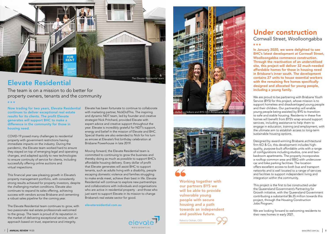

Now trading for two years, Elevate Residential continues to deliver exceptional real estate results for its clients. The profit Elevate generates will support BHC to make a difference in the community for those in housing need.

COVID-19 posed many challenges to residential property with government restrictions having immediate impacts on the industry. During the pandemic, the Elevate team worked hard to ensure they stayed on top of emerging legal and operating changes, and adapted quickly to new technologies to ensure continuity of service for clients, including successfully offering online auctions and virtual inspections.

This financial year saw pleasing growth in Elevate's property management portfolio, with consistently strong results achieved for property investors, despite the challenging market conditions. Elevate also continues to expand its sales offering, achieving success with vendors across Brisbane and cementing a robust sales pipeline for the coming year.

The Elevate Residential team continues to grow, with two passionate real estate professionals welcomed to the group. The team is proud of its reputation in the market of delivering exceptional service, with an approach based on trust, experience and integrity.

Elevate has been fortunate to continue to collaborate with marketing partner, NickDidThis. The inspiring and dynamic NDT team, led by founder and creative strategist Nick Pritchard, provided Elevate with expert advice and creative support throughout the year. Elevate is incredibly grateful for NDT's support, energy and belief in the mission of Elevate and BHC. Special thanks are also extended to Nick for his turn as emcee at Elevate's first birthday celebration at Brisbane Powerhouse in late 2019.

Moving forward, the Elevate Residential team is committed to continuing to grow the business and thereby doing as much as possible to support BHC's affordable housing delivery. Every dollar of profit that Elevate generates will assist BHC to support tenants, such as adults living with a disability, people escaping domestic violence and families struggling to make ends meet, achieve their best in life. Elevate Residential will continue to explore new partnerships and collaborations with individuals and organisations who are active in residential property - and those who just want to support Elevate in its mission to change Brisbane's real estate sector for good.

Cornwall Street, Woolloongabba  $\bullet\bullet\bullet$ 

## Elevate Residential

The team is on a mission to do better for property owners, tenants and the community

elevateresidential.com.au



In January 2020, we were delighted to see BHC's latest development at Cornwall Street, Woolloongabba commence construction. Through the reactivation of an underutilised site, this project will deliver 32 much-needed affordable homes for those in housing need in Brisbane's inner south. The development contains 27 units to house essential workers with the remaining five homes specifically designed and allocated for young people, including a young family.

We are proud to be partnering with Brisbane Youth Service (BYS) for this project, whose mission is to support homeless and disadvantaged young people and their children. Our partnership will enable young people being assisted by BYS to transition to safe and stable housing. Residents in these five homes will benefit from BYS's wrap-around support services, including assistance to help them to engage in education, training and employment, with the ultimate aim to establish access to long-term sustainable housing options.

Designed by award-winning Brisbane architectural firm KO & Co, this development includes highquality, purpose-built affordable units with a range of configurations including studios, one and twobedroom apartments. The property incorporates a rooftop common area and BBQ with undercover car and bike parking facilities. The location offers excellent access to both bus and transport networks and is well located to a range of services and facilities to support independent living and integration within the community.

This project is the first to be constructed under the Queensland Government's Partnering for Growth initiative, with the Queensland Government contributing a substantial \$6.35 million towards this project, through the Housing Construction Jobs Program.

We are looking forward to welcoming residents to their new homes in early 2021.

## Under construction

Working together with our partners BYS we will be able to provide vulnerable young people with secure housing and a path towards an independent and positive future.

Rebecca Oelkers, CEO





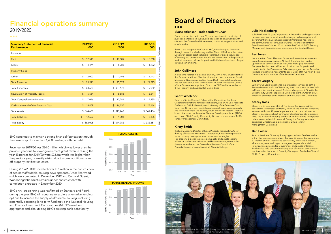

As a professional Quantity Surveying consultant Ben has worked within the construction industry for over 30 years. Ben is currently a Director of the Queensland consultancy firm Steele Wrobel, after many years working on a range of large-scale social infrastructure projects for Government and private enterprise. Ben has also held positions including that of chapter president for the Australian Institute of Quantity Surveyors. Ben is the Chair of BHC's Property Committee.

Kirsty is Managing Director of Kelen Property. Previously CEO for **Ben Foster** the City of Brisbane Investment Corporation, Kirsty was responsible for its property development and investment strategies. Her property experience across both public and private sectors follows an early career in finance and business management roles. Kirsty is a member of the Queensland Division Council of the Property Council of Australia and Mt Alvernia College.

#### Kirsty Smith

#### John Gallimore

A long-time Partner in a leading law firm, John is now a Consultant to that firm and is a Board Member of Multicap. John is a former Board Member of Queensland Sudden Infant Death Research Foundation and has had various roles in the Anglican Church in Brisbane. John is a State Government appointed Director of BHC and is a member of BHC's Property and Audit & Risk Committees.

#### Eloise Atkinson - Independent Chair

Eloise is an architect with over 25 years' experience in the design of public and affordable housing, and education and has worked with clients in the Queensland Government, community organisations and private sector.

Eloise is the Independent Chair of BHC, contributing to the sector through research and advocacy and is a Churchill Fellow. In her role as Director of design practice Deicke Richards, her broad knowledge of housing and development models also contributes to the practice's work with commercial, not for profit and faith-based providers of aged care and seniors living.





Julie holds over 25 years' experience in leadership and organisational development, and education and training at both enterprise and government levels. Julie has successfully translated her skills to the community sector through her work as Founder and Interim Board Member of Under 1 Roof. Julie is the Chair of BHC's Tenancy Management Committee and a member of the Catalyst Board.

#### Julie Heckenberg

| <b>Summary Statement of Financial</b> | 2019/20    | 2018/19          | 2017/18       |
|---------------------------------------|------------|------------------|---------------|
| <b>Performance</b>                    | '000       | '000             | '000          |
| Revenue                               |            |                  |               |
| Rent                                  | $\sqrt{2}$ | $$\mathfrak{s}$$ | \$            |
|                                       | 17,516     | 16,889           | 16,260        |
| Grants                                | \$         | \$               | \$            |
|                                       | 4,474      | 6,988            | 4,172         |
| <b>Property Sales</b>                 |            |                  |               |
| Other                                 | \$         | \$               | \$            |
|                                       | 2,002      | 1,195            | 1,143         |
| <b>Total Revenue</b>                  | \$         | $\sqrt{2}$       | 21,575        |
|                                       | 23,991     | 25,072           | \$            |
| <b>Total Expenses</b>                 | 23,629     | $$\mathbb{S}$$   | 19,982        |
|                                       | \$         | 21,678           | \$            |
| <b>Revaluation of Property Assets</b> | \$         | $\sqrt{2}$       | $\frac{1}{2}$ |
|                                       | 6,684      | 8,888            | 6,241         |
| Total Comprehensive Income            | \$         | \$               | \$            |
|                                       | 7,046      | 12,281           | 7,835         |
| Cash at the end of the Financial Year | \$         | $\sqrt{2}$       | \$            |
|                                       | 19,409     | 16,150           | 27,664        |
| <b>Total Assets</b>                   | \$ 364,660 | \$349,263        | \$341,486     |
| <b>Total Liabilities</b>              | \$         | $$\mathfrak{s}$$ | \$            |
|                                       | 12,652     | 4,301            | 8,805         |
| <b>Total Equity</b>                   | \$352,008  | \$ 344,962       | \$332,681     |

With over 30 years' experience in professional services as both a Finance Director and Chief Executive, Stuart has a wide array of skills in Finance, Administration and Business Management. Stuart is the Brisbane City Council appointed Director and is the Chair of BHC's Finance Committee and a member of the Audit & Risk Committee.

#### Stuart Gregory

Geoff is a Senior Research Fellow at the University of Southern<br>Queensland's Institute for Resilient Regions, and an Adjunct Associate **Stacey Ross** Professor at Griffith University and University of the Sunshine Coast. Geoff has 30 years' community-based research experience nationally and internationally in the housing, youth and health sectors. Geoff is a board director of the Australian National Development Index (ANDI) and Logan Child-Friendly Community Ltd, and is a member of BHC's Tenancy Management Committee.

Les is a retired Grant Thornton Partner with extensive involvement in not for profit organisations. At Grant Thornton, Les headed up Assurance Services and was the Office Managing Partner for five years. Les has been a Director of various not for profits and contributed to the Professional Education program for the Australian Institute of Chartered Accountants. Les is Chair of BHC's Audit & Risk Committee and a member of the Finance Committee.

#### Les Jones

# Board of Directors

#### $\bullet$   $\bullet$   $\bullet$

BHC continues to maintain a strong financial foundation through the ownership of more than 1,400 dwellings with no debt.

Revenue for 2019/20 was \$24.0 million which was lower than the previous year due to lower government grant revenue during the year. Expenses for 2019/20 were \$23.6m which was higher than the previous year, primarily arising due to some additional oneoff property rectification costs.

During 2019/20 BHC invested over \$11 million in the construction of two new affordable housing developments, Arbor Sherwood which was completed in December 2019 and Cornwall Street, Woolloongabba which remains under construction with completion expected in December 2020.

BHC's AA- credit rating was reaffirmed by Standard and Poor's during the year. BHC will continue to explore alternative funding options to increase the supply of affordable housing, including potentially accessing long-term funding via the National Housing and Finance Investment Corporation's (NHFIC) new bond aggregator and also utilising BHC's existing bank debt facility.

### Financial operations summary 2019/2020

 $\bullet\bullet\bullet$ 

Stacey is a Director and CEO of The Centre For Women & Co. specialising in domestic and family violence and women's wellbeing services. With over 20 years' experience in the community sector Stacey is passionate about community development at a grassroots level, she leads with integrity and has an endless desire to empower others to reach their full potential. Stacey is a State government appointed Director and is a member of BHC's Tenancy Management Committee.

#### Geoff Woolcock